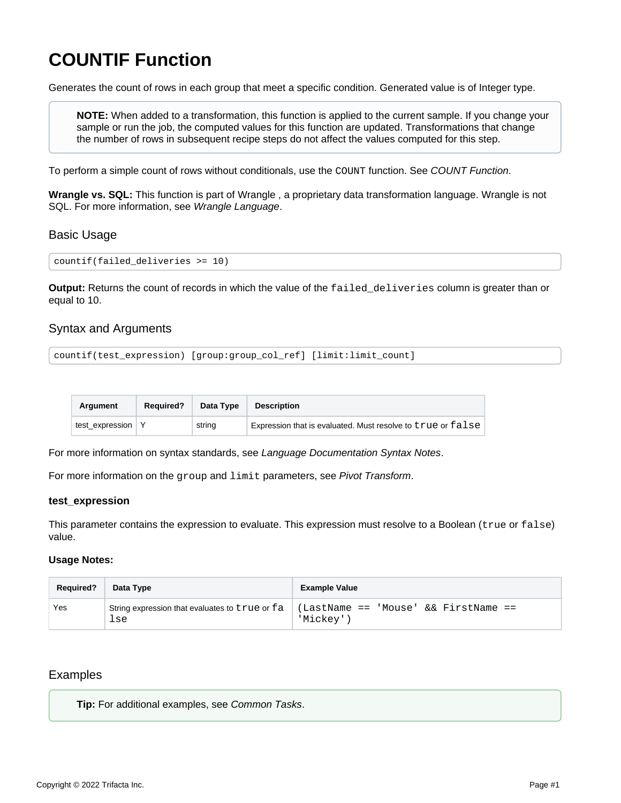# <span id="page-0-0"></span>**COUNTIF Function**

Generates the count of rows in each group that meet a specific condition. Generated value is of Integer type.

**NOTE:** When added to a transformation, this function is applied to the current sample. If you change your sample or run the job, the computed values for this function are updated. Transformations that change the number of rows in subsequent recipe steps do not affect the values computed for this step.

To perform a simple count of rows without conditionals, use the COUNT function. See [COUNT Function](https://docs.trifacta.com/display/r087/COUNT+Function).

**Wrangle vs. SQL:** This function is part of Wrangle , a proprietary data transformation language. Wrangle is not SQL. For more information, see [Wrangle Language](https://docs.trifacta.com/display/r087/Wrangle+Language).

## Basic Usage

```
countif(failed_deliveries >= 10)
```
**Output:** Returns the count of records in which the value of the failed\_deliveries column is greater than or equal to 10.

# Syntax and Arguments

```
countif(test_expression) [group:group_col_ref] [limit:limit_count]
```

| Araument        | <b>Required?</b> | Data Type | <b>Description</b>                                          |
|-----------------|------------------|-----------|-------------------------------------------------------------|
| test expression |                  | string    | Expression that is evaluated. Must resolve to true or false |

For more information on syntax standards, see [Language Documentation Syntax Notes](https://docs.trifacta.com/display/r087/Language+Documentation+Syntax+Notes).

For more information on the group and limit parameters, see [Pivot Transform](https://docs.trifacta.com/display/r087/Pivot+Transform).

#### **test\_expression**

This parameter contains the expression to evaluate. This expression must resolve to a Boolean (true or false) value.

#### **Usage Notes:**

| <b>Required?</b> | Data Type                                             | <b>Example Value</b>                              |
|------------------|-------------------------------------------------------|---------------------------------------------------|
| Yes              | String expression that evaluates to true or fa<br>lse | (LastName == 'Mouse' && FirstName ==<br>'Mickey'' |

# Examples

**Tip:** For additional examples, see [Common Tasks](https://docs.trifacta.com/display/r087/Common+Tasks).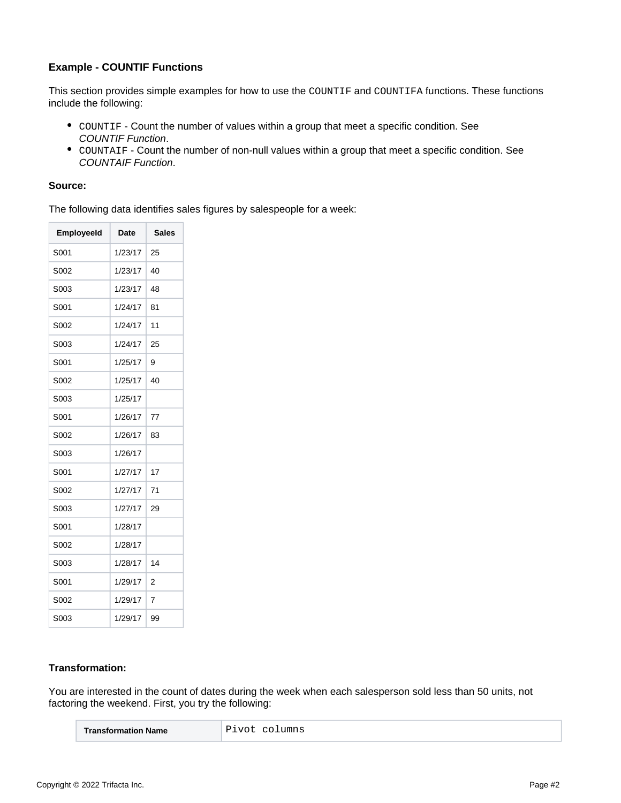## **Example - COUNTIF Functions**

This section provides simple examples for how to use the COUNTIF and COUNTIFA functions. These functions include the following:

- COUNTIF Count the number of values within a group that meet a specific condition. See [COUNTIF Function](#page-0-0).
- COUNTAIF Count the number of non-null values within a group that meet a specific condition. See [COUNTAIF Function](https://docs.trifacta.com/display/r087/COUNTAIF+Function).

## **Source:**

The following data identifies sales figures by salespeople for a week:

| <b>EmployeeId</b> | <b>Date</b> | <b>Sales</b>   |
|-------------------|-------------|----------------|
| S001              | 1/23/17     | 25             |
| S002              | 1/23/17     | 40             |
| S003              | 1/23/17     | 48             |
| S001              | 1/24/17     | 81             |
| S002              | 1/24/17     | 11             |
| S003              | 1/24/17     | 25             |
| S001              | 1/25/17     | 9              |
| S002              | 1/25/17     | 40             |
| S003              | 1/25/17     |                |
| S001              | 1/26/17     | 77             |
| S002              | 1/26/17     | 83             |
| S003              | 1/26/17     |                |
| S001              | 1/27/17     | 17             |
| S002              | 1/27/17     | 71             |
| S003              | 1/27/17     | 29             |
| S001              | 1/28/17     |                |
| S002              | 1/28/17     |                |
| S003              | 1/28/17     | 14             |
| S001              | 1/29/17     | $\overline{2}$ |
| S002              | 1/29/17     | 7              |
| S003              | 1/29/17     | 99             |

## **Transformation:**

You are interested in the count of dates during the week when each salesperson sold less than 50 units, not factoring the weekend. First, you try the following:

| Transformation Name | Pivot columns |
|---------------------|---------------|
|---------------------|---------------|